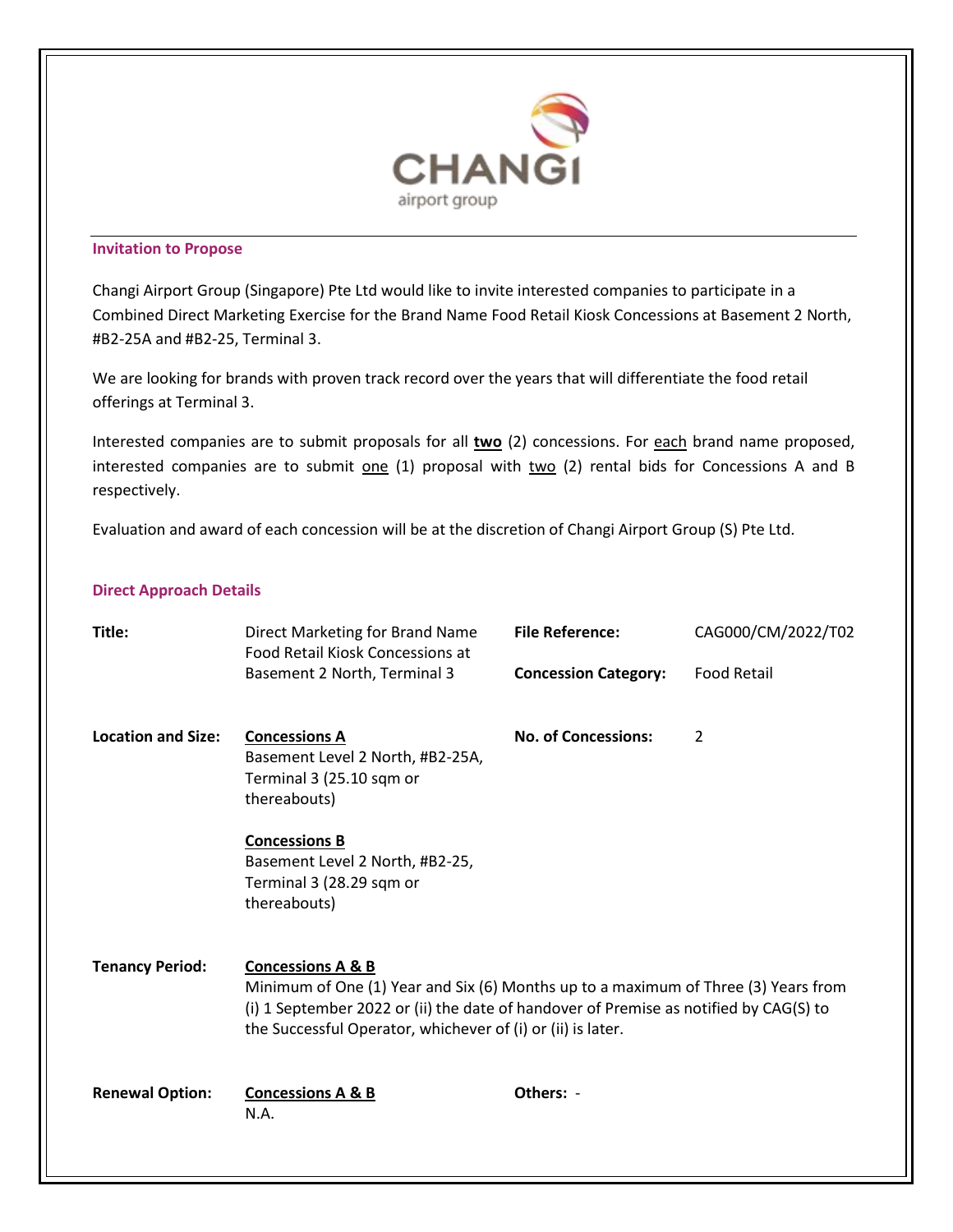

## **Invitation to Propose**

Changi Airport Group (Singapore) Pte Ltd would like to invite interested companies to participate in a Combined Direct Marketing Exercise for the Brand Name Food Retail Kiosk Concessions at Basement 2 North, #B2-25A and #B2-25, Terminal 3.

We are looking for brands with proven track record over the years that will differentiate the food retail offerings at Terminal 3.

Interested companies are to submit proposals for all **two** (2) concessions. For each brand name proposed, interested companies are to submit one (1) proposal with two (2) rental bids for Concessions A and B respectively.

Evaluation and award of each concession will be at the discretion of Changi Airport Group (S) Pte Ltd.

## **Direct Approach Details**

| Title:                    | Direct Marketing for Brand Name<br>Food Retail Kiosk Concessions at<br>Basement 2 North, Terminal 3                                                                                                                                                                        | <b>File Reference:</b>      | CAG000/CM/2022/T02 |
|---------------------------|----------------------------------------------------------------------------------------------------------------------------------------------------------------------------------------------------------------------------------------------------------------------------|-----------------------------|--------------------|
|                           |                                                                                                                                                                                                                                                                            | <b>Concession Category:</b> | <b>Food Retail</b> |
| <b>Location and Size:</b> | <b>Concessions A</b><br>Basement Level 2 North, #B2-25A,<br>Terminal 3 (25.10 sqm or<br>thereabouts)                                                                                                                                                                       | <b>No. of Concessions:</b>  | $\overline{2}$     |
|                           | <b>Concessions B</b><br>Basement Level 2 North, #B2-25,<br>Terminal 3 (28.29 sqm or<br>thereabouts)                                                                                                                                                                        |                             |                    |
| <b>Tenancy Period:</b>    | <b>Concessions A &amp; B</b><br>Minimum of One (1) Year and Six (6) Months up to a maximum of Three (3) Years from<br>(i) 1 September 2022 or (ii) the date of handover of Premise as notified by CAG(S) to<br>the Successful Operator, whichever of (i) or (ii) is later. |                             |                    |
| <b>Renewal Option:</b>    | <b>Concessions A &amp; B</b><br>N.A.                                                                                                                                                                                                                                       | Others: -                   |                    |